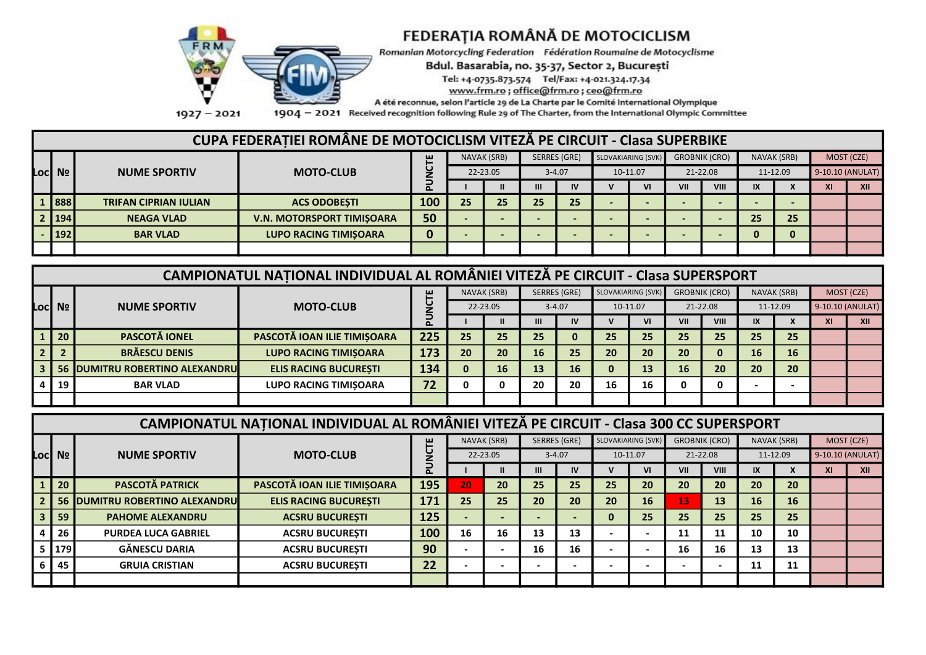

# FEDERAȚIA ROMÂNĂ DE MOTOCICLISM

Romanian Motorcycling Federation Fédération Roumaine de Motocyclisme

Bdul. Basarabia, no. 35-37, Sector 2, București

Tel: +4-0735.873.574 Tel/Fax: +4-021.324.17.34

www.frm.ro; office@frm.ro; ceo@frm.ro

A été reconnue, selon l'article 29 de La Charte par le Comité International Olympique

 $1927 - 2021$ 1904 - 2021 Received recognition following Rule 29 of The Charter, from the International Olympic Committee

### CUPA FEDERATIEI ROMÂNE DE MOTOCICLISM VITEZĂ PE CIRCUIT - Clasa SUPERBIKE

|  |                                |                              |                                  | NAVAK (SRB) |    |          | SERRES (GRE) | SLOVAKIARING (SVK) | <b>GROBNIK (CRO)</b> |     | NAVAK (SRB)              |        | MOST (CZE)   |    |                  |
|--|--------------------------------|------------------------------|----------------------------------|-------------|----|----------|--------------|--------------------|----------------------|-----|--------------------------|--------|--------------|----|------------------|
|  | Loc Nº l                       | <b>NUME SPORTIV</b>          | <b>MOTO-CLUB</b>                 |             |    | 22-23.05 |              | $3 - 4.07$         | 10-11.07             |     | 21-22.08                 |        | 11-12.09     |    | 9-10.10 (ANULAT) |
|  |                                |                              |                                  | ௨           |    |          | III          | IV                 | VI                   | VII | VIII                     | IX     | $\mathbf{v}$ | XI | XII              |
|  | 1 888                          | <b>TRIFAN CIPRIAN IULIAN</b> | <b>ACS ODOBESTI</b>              | 100         | 25 | 25       | 25           | 25                 |                      |     | $\overline{\phantom{0}}$ | $\sim$ |              |    |                  |
|  | 2 194                          | <b>NEAGA VLAD</b>            | <b>V.N. MOTORSPORT TIMISOARA</b> | 50          |    |          |              |                    |                      |     |                          | 25     | 25           |    |                  |
|  | $\begin{array}{c} \end{array}$ | <b>BAR VLAD</b>              | <b>LUPO RACING TIMISOARA</b>     |             |    |          |              |                    |                      |     |                          | 0      |              |    |                  |
|  |                                |                              |                                  |             |    |          |              |                    |                      |     |                          |        |              |    |                  |

| CAMPIONATUL NATIONAL INDIVIDUAL AL ROMÂNIEI VITEZĂ PE CIRCUIT - Clasa SUPERSPORT |                                         |                                    |     |          |             |           |                     |    |                    |     |                      |    |             |     |                  |
|----------------------------------------------------------------------------------|-----------------------------------------|------------------------------------|-----|----------|-------------|-----------|---------------------|----|--------------------|-----|----------------------|----|-------------|-----|------------------|
|                                                                                  |                                         |                                    | ш   |          | NAVAK (SRB) |           | <b>SERRES (GRE)</b> |    | SLOVAKIARING (SVK) |     | <b>GROBNIK (CRO)</b> |    | NAVAK (SRB) |     | MOST (CZE)       |
| Locl Nº                                                                          | <b>NUME SPORTIV</b>                     | <b>MOTO-CLUB</b>                   |     |          | 22-23.05    |           | $3 - 4.07$          |    | 10-11.07           |     | 21-22.08             |    | 11-12.09    |     | 9-10.10 (ANULAT) |
|                                                                                  |                                         |                                    |     |          |             |           | IV                  |    | VI                 | VII | VIII                 | IX |             | XI. | XII              |
| l 20                                                                             | <b>PASCOTĂ IONEL</b>                    | <b>PASCOTĂ IOAN ILIE TIMIȘOARA</b> | 225 | 25       | 25          | 25        | 0                   | 25 | 25                 | 25  | 25                   | 25 | 25          |     |                  |
|                                                                                  | <b>BRĂESCU DENIS</b>                    | <b>LUPO RACING TIMISOARA</b>       | 173 | 20       | 20          | <b>16</b> | 25                  | 20 | 20                 | 20  | 0                    | 16 | <b>16</b>   |     |                  |
|                                                                                  | <b>56 IDUMITRU ROBERTINO ALEXANDRUI</b> | <b>ELIS RACING BUCURESTI</b>       | 134 | $\bf{0}$ | 16          | 13        | 16                  |    | 13                 | 16  | 20                   | 20 | 20          |     |                  |
| 4   19                                                                           | <b>BAR VLAD</b>                         | <b>LUPO RACING TIMISOARA</b>       | 72  | 0        |             | 20        | 20                  | 16 | 16                 | 0   | 0                    |    |             |     |                  |
|                                                                                  |                                         |                                    |     |          |             |           |                     |    |                    |     |                      |    |             |     |                  |

### CAMPIONATUL NAȚIONAL INDIVIDUAL AL ROMÂNIEI VITEZĂ PE CIRCUIT - Clasa 300 CC SUPERSPORT

|                 |                                         |                              | ш          |    | NAVAK (SRB) | SERRES (GRE) |            | <b>SLOVAKIARING (SVK)</b> |          |     | <b>GROBNIK (CRO)</b> |                         | NAVAK (SRB) |     | MOST (CZE)       |
|-----------------|-----------------------------------------|------------------------------|------------|----|-------------|--------------|------------|---------------------------|----------|-----|----------------------|-------------------------|-------------|-----|------------------|
| Locl Nº l       | <b>NUME SPORTIV</b>                     | <b>MOTO-CLUB</b>             |            |    | 22-23.05    |              | $3 - 4.07$ |                           | 10-11.07 |     | 21-22.08             |                         | 11-12.09    |     | 9-10.10 (ANULAT) |
|                 |                                         |                              | ௨          |    |             | Ш            | IV         |                           | ٧I       | VII | VIII                 | $\mathsf{I} \mathsf{X}$ |             | AL. | XII              |
| $\overline{20}$ | <b>PASCOTĂ PATRICK</b>                  | PASCOTĂ IOAN ILIE TIMIȘOARA  | <b>195</b> | 20 | 20          | 25           | 25         | 25                        | 20       | 20  | 20                   | 20                      | 20          |     |                  |
|                 | <b>56 IDUMITRU ROBERTINO ALEXANDRUI</b> | <b>ELIS RACING BUCURESTI</b> | 171        | 25 | 25          | 20           | 20         | 20                        | 16       | 13  | 13                   | 16                      | <b>16</b>   |     |                  |
| -59             | <b>PAHOME ALEXANDRU</b>                 | <b>ACSRU BUCURESTI</b>       | 125        |    |             |              |            | 0                         | 25       | 25  | 25                   | 25                      | 25          |     |                  |
| 26              | <b>PURDEA LUCA GABRIEL</b>              | <b>ACSRU BUCURESTI</b>       | 100        | 16 | 16          | 13           | 13         |                           |          | 11  | 11                   | 10                      | 10          |     |                  |
| $5 \mid 179$    | <b>GĂNESCU DARIA</b>                    | <b>ACSRU BUCURESTI</b>       | 90         |    |             | 16           | 16         |                           |          | 16  | 16                   | 13                      | 13          |     |                  |
| 45              | <b>GRUIA CRISTIAN</b>                   | <b>ACSRU BUCURESTI</b>       | 22         |    |             |              |            |                           |          |     |                      | 11                      | 11          |     |                  |
|                 |                                         |                              |            |    |             |              |            |                           |          |     |                      |                         |             |     |                  |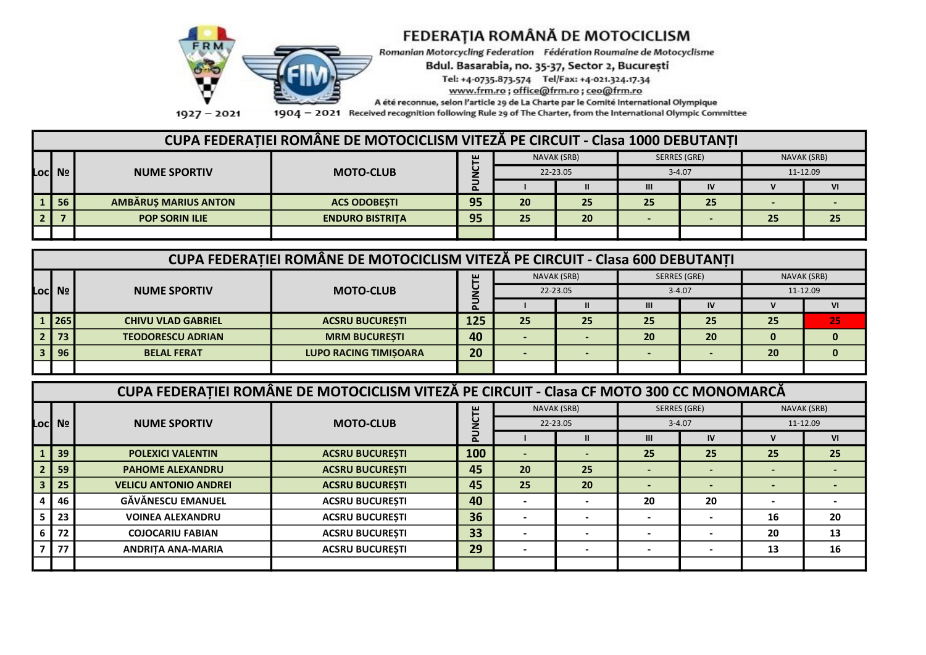

## FEDERAȚIA ROMÂNĂ DE MOTOCICLISM

Romanian Motorcycling Federation Fédération Roumaine de Motocyclisme

Bdul. Basarabia, no. 35-37, Sector 2, București

Tel: +4-0735.873.574 Tel/Fax: +4-021.324.17.34

www.frm.ro; office@frm.ro; ceo@frm.ro

A été reconnue, selon l'article 29 de La Charte par le Comité International Olympique

1904 - 2021 Received recognition following Rule 29 of The Charter, from the International Olympic Committee

### CUPA FEDERATIEI ROMÂNE DE MOTOCICLISM VITEZĂ PE CIRCUIT - Clasa 1000 DEBUTANTI

|     |         | <b>NUME SPORTIV</b>         | <b>MOTO-CLUB</b>       | ш  |          | NAVAK (SRB)  | SERRES (GRE) |    | NAVAK (SRB) |    |
|-----|---------|-----------------------------|------------------------|----|----------|--------------|--------------|----|-------------|----|
|     | Loc  Nº |                             |                        |    | 22-23.05 |              | $3 - 4.07$   |    | 11-12.09    |    |
|     |         |                             |                        | ௳  |          | $\mathbf{I}$ | Ш            | IV |             | ٧I |
|     | 56      | <b>AMBĂRUS MARIUS ANTON</b> | <b>ACS ODOBESTI</b>    | 95 | 20       | 25           | 25           | 25 |             |    |
| l 2 |         | <b>POP SORIN ILIE</b>       | <b>ENDURO BISTRITA</b> | 95 | 25       | 20           |              |    | 25          | 25 |
|     |         |                             |                        |    |          |              |              |    |             |    |

|           |                           | CUPA FEDERATIEI ROMÂNE DE MOTOCICLISM VITEZĂ PE CIRCUIT - Clasa 600 DEBUTANTI |     |    |             |            |              |          |             |
|-----------|---------------------------|-------------------------------------------------------------------------------|-----|----|-------------|------------|--------------|----------|-------------|
|           |                           |                                                                               | ш   |    | NAVAK (SRB) |            | SERRES (GRE) |          | NAVAK (SRB) |
| Locl Nº l | <b>NUME SPORTIV</b>       | <b>MOTO-CLUB</b>                                                              |     |    | 22-23.05    | $3 - 4.07$ |              | 11-12.09 |             |
|           |                           |                                                                               | ௨   |    |             | Ш          | IV           |          |             |
| 1 265     | <b>CHIVU VLAD GABRIEL</b> | <b>ACSRU BUCURESTI</b>                                                        | 125 | 25 | 25          | 25         | 25           | 25       | 25          |
| 73        | <b>TEODORESCU ADRIAN</b>  | <b>MRM BUCURESTI</b>                                                          | 40  |    |             | 20         | 20           |          |             |
| 96        | <b>BELAL FERAT</b>        | <b>LUPO RACING TIMISOARA</b>                                                  | 20  |    |             |            |              | 20       |             |
|           |                           |                                                                               |     |    |             |            |              |          |             |

|           |                              | CUPA FEDERATIEI ROMÂNE DE MOTOCICLISM VITEZĂ PE CIRCUIT - Clasa CF MOTO 300 CC MONOMARCĂ |            |          |             |              |           |             |          |  |
|-----------|------------------------------|------------------------------------------------------------------------------------------|------------|----------|-------------|--------------|-----------|-------------|----------|--|
|           |                              |                                                                                          | ш          |          | NAVAK (SRB) | SERRES (GRE) |           | NAVAK (SRB) |          |  |
| Locl Nº l | <b>NUME SPORTIV</b>          | <b>MOTO-CLUB</b>                                                                         |            | 22-23.05 |             | $3 - 4.07$   |           |             | 11-12.09 |  |
|           |                              |                                                                                          | $\sim$     |          |             | $\mathbf{m}$ | <b>IV</b> |             | VI       |  |
| 39        | <b>POLEXICI VALENTIN</b>     | <b>ACSRU BUCURESTI</b>                                                                   | <b>100</b> |          |             | 25           | 25        | 25          | 25       |  |
| 59        | <b>PAHOME ALEXANDRU</b>      | <b>ACSRU BUCURESTI</b>                                                                   | 45         | 20       | 25          |              |           |             |          |  |
| 25        | <b>VELICU ANTONIO ANDREI</b> | <b>ACSRU BUCURESTI</b>                                                                   | 45         | 25       | 20          |              |           |             |          |  |
| 46        | <b>GĂVĂNESCU EMANUEL</b>     | <b>ACSRU BUCURESTI</b>                                                                   | 40         |          |             | 20           | 20        |             |          |  |
| 23        | <b>VOINEA ALEXANDRU</b>      | <b>ACSRU BUCURESTI</b>                                                                   | 36         |          |             |              |           | 16          | 20       |  |
| 72        | <b>COJOCARIU FABIAN</b>      | <b>ACSRU BUCURESTI</b>                                                                   | 33         |          |             |              |           | 20          | 13       |  |
| 77        | <b>ANDRITA ANA-MARIA</b>     | <b>ACSRU BUCURESTI</b>                                                                   | 29         |          |             |              |           | 13          | 16       |  |
|           |                              |                                                                                          |            |          |             |              |           |             |          |  |